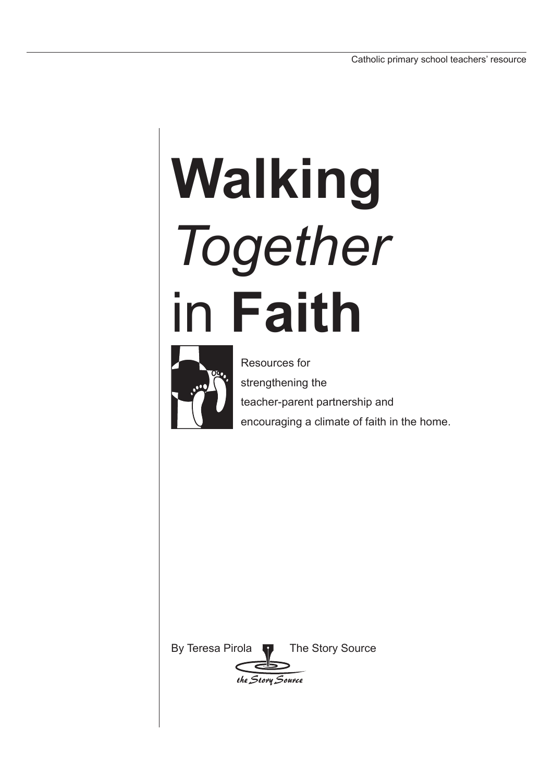# **Walking**  *Together*  in **Faith**



Resources for strengthening the teacher-parent partnership and encouraging a climate of faith in the home.

By Teresa Pirola **T** The Story Source

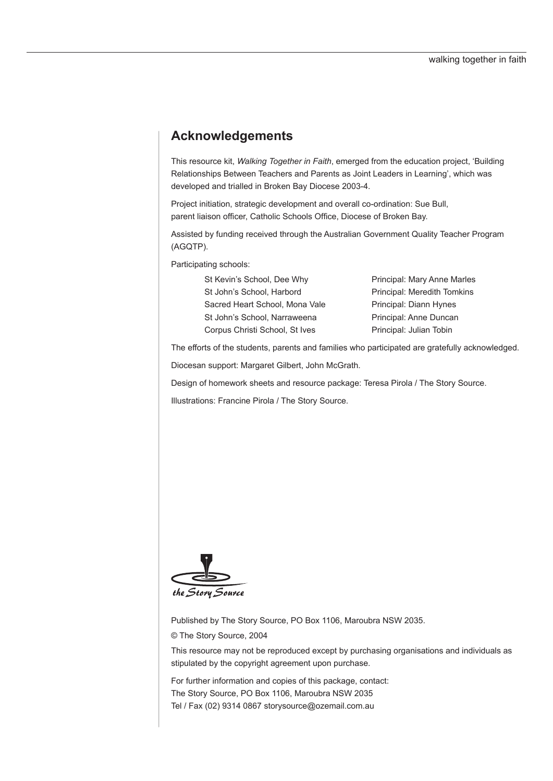# **Acknowledgements**

This resource kit, *Walking Together in Faith*, emerged from the education project, 'Building Relationships Between Teachers and Parents as Joint Leaders in Learning', which was developed and trialled in Broken Bay Diocese 2003-4.

Project initiation, strategic development and overall co-ordination: Sue Bull, parent liaison officer, Catholic Schools Office, Diocese of Broken Bay.

Assisted by funding received through the Australian Government Quality Teacher Program (AGQTP).

Participating schools:

St John's School, Harbord Principal: Meredith Tomkins Sacred Heart School, Mona Vale Principal: Diann Hynes St John's School, Narraweena Principal: Anne Duncan Corpus Christi School, St Ives Principal: Julian Tobin

St Kevin's School, Dee Why Principal: Mary Anne Marles

The efforts of the students, parents and families who participated are gratefully acknowledged.

Diocesan support: Margaret Gilbert, John McGrath.

Design of homework sheets and resource package: Teresa Pirola / The Story Source.

Illustrations: Francine Pirola / The Story Source.



Published by The Story Source, PO Box 1106, Maroubra NSW 2035.

© The Story Source, 2004

This resource may not be reproduced except by purchasing organisations and individuals as stipulated by the copyright agreement upon purchase.

For further information and copies of this package, contact: The Story Source, PO Box 1106, Maroubra NSW 2035 Tel / Fax (02) 9314 0867 storysource@ozemail.com.au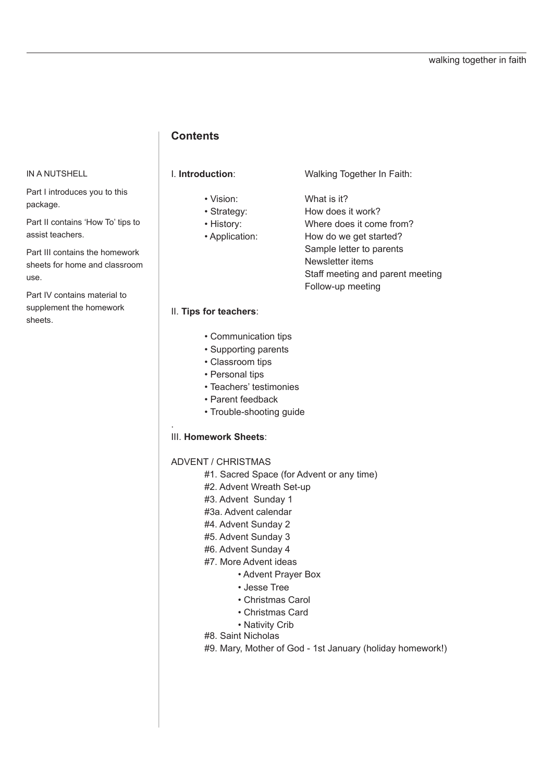## **Contents**

#### IN A NUTSHELL

Part I introduces you to this package.

Part II contains 'How To' tips to assist teachers.

Part III contains the homework sheets for home and classroom use.

Part IV contains material to supplement the homework sheets.

- 
- 
- 
- 

I. **Introduction**: Walking Together In Faith:

• Vision: What is it?

 • Strategy: How does it work? • History: Where does it come from?

• Application: How do we get started?

Sample letter to parents

Newsletter items

Staff meeting and parent meeting

Follow-up meeting

#### II. **Tips for teachers**:

- Communication tips
- Supporting parents
- Classroom tips
- Personal tips
- Teachers' testimonies
- Parent feedback
- Trouble-shooting guide

#### III. **Homework Sheets**:

.

ADVENT / CHRISTMAS

- #1. Sacred Space (for Advent or any time)
- #2. Advent Wreath Set-up
- #3. Advent Sunday 1
- #3a. Advent calendar
- #4. Advent Sunday 2
- #5. Advent Sunday 3
- #6. Advent Sunday 4
- #7. More Advent ideas
	- Advent Prayer Box
	- Jesse Tree
	- Christmas Carol
	- Christmas Card
	- Nativity Crib
- #8. Saint Nicholas
- #9. Mary, Mother of God 1st January (holiday homework!)